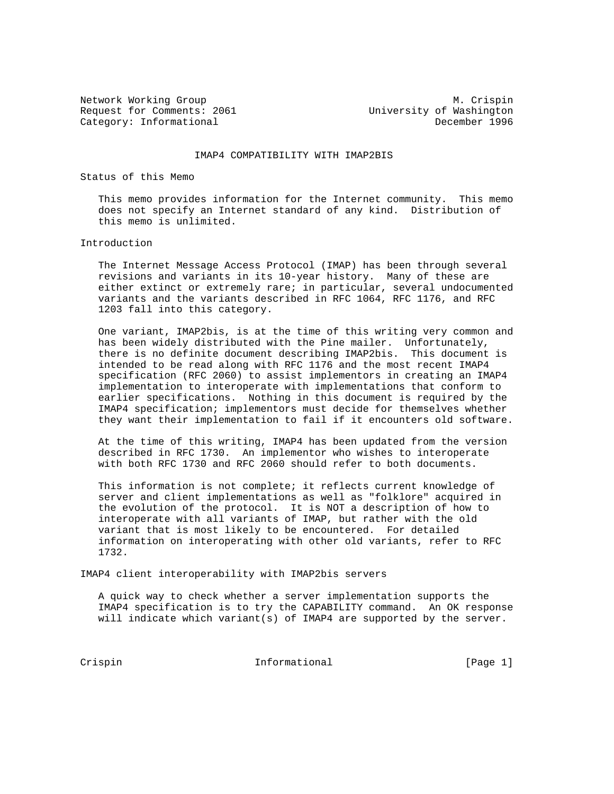Request for Comments: 2061 Category: Informational December 1996

Network Working Group Metwork Working Group<br>Request for Comments: 2061 Method Muslim University of Washington

## IMAP4 COMPATIBILITY WITH IMAP2BIS

Status of this Memo

 This memo provides information for the Internet community. This memo does not specify an Internet standard of any kind. Distribution of this memo is unlimited.

## Introduction

 The Internet Message Access Protocol (IMAP) has been through several revisions and variants in its 10-year history. Many of these are either extinct or extremely rare; in particular, several undocumented variants and the variants described in RFC 1064, RFC 1176, and RFC 1203 fall into this category.

 One variant, IMAP2bis, is at the time of this writing very common and has been widely distributed with the Pine mailer. Unfortunately, there is no definite document describing IMAP2bis. This document is intended to be read along with RFC 1176 and the most recent IMAP4 specification (RFC 2060) to assist implementors in creating an IMAP4 implementation to interoperate with implementations that conform to earlier specifications. Nothing in this document is required by the IMAP4 specification; implementors must decide for themselves whether they want their implementation to fail if it encounters old software.

 At the time of this writing, IMAP4 has been updated from the version described in RFC 1730. An implementor who wishes to interoperate with both RFC 1730 and RFC 2060 should refer to both documents.

 This information is not complete; it reflects current knowledge of server and client implementations as well as "folklore" acquired in the evolution of the protocol. It is NOT a description of how to interoperate with all variants of IMAP, but rather with the old variant that is most likely to be encountered. For detailed information on interoperating with other old variants, refer to RFC 1732.

IMAP4 client interoperability with IMAP2bis servers

 A quick way to check whether a server implementation supports the IMAP4 specification is to try the CAPABILITY command. An OK response will indicate which variant(s) of IMAP4 are supported by the server.

Crispin 10 Informational [Page 1]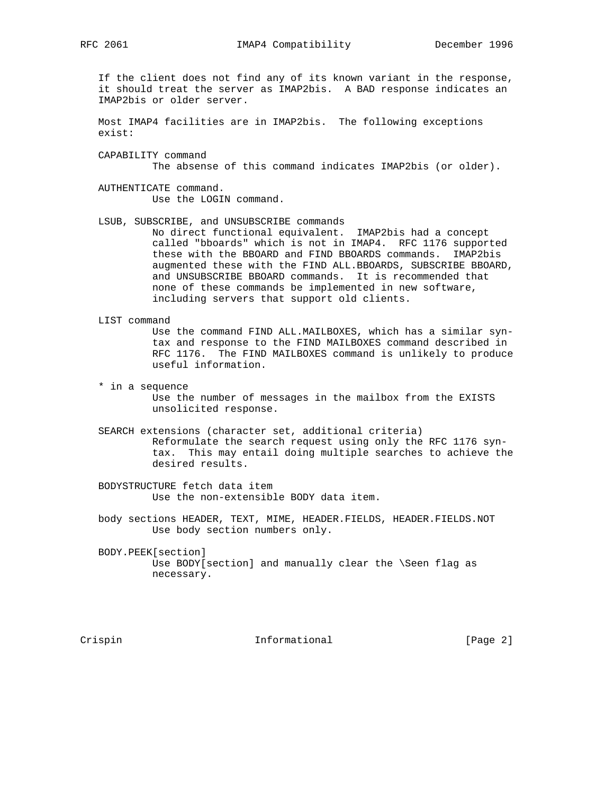RFC 2061 **IMAP4** Compatibility December 1996

 If the client does not find any of its known variant in the response, it should treat the server as IMAP2bis. A BAD response indicates an IMAP2bis or older server.

 Most IMAP4 facilities are in IMAP2bis. The following exceptions exist:

 CAPABILITY command The absense of this command indicates IMAP2bis (or older).

 AUTHENTICATE command. Use the LOGIN command.

 LSUB, SUBSCRIBE, and UNSUBSCRIBE commands No direct functional equivalent. IMAP2bis had a concept called "bboards" which is not in IMAP4. RFC 1176 supported these with the BBOARD and FIND BBOARDS commands. IMAP2bis augmented these with the FIND ALL.BBOARDS, SUBSCRIBE BBOARD, and UNSUBSCRIBE BBOARD commands. It is recommended that none of these commands be implemented in new software, including servers that support old clients.

- LIST command Use the command FIND ALL.MAILBOXES, which has a similar syn tax and response to the FIND MAILBOXES command described in RFC 1176. The FIND MAILBOXES command is unlikely to produce useful information.
- \* in a sequence Use the number of messages in the mailbox from the EXISTS unsolicited response.
- SEARCH extensions (character set, additional criteria) Reformulate the search request using only the RFC 1176 syn tax. This may entail doing multiple searches to achieve the desired results.

 BODYSTRUCTURE fetch data item Use the non-extensible BODY data item.

 body sections HEADER, TEXT, MIME, HEADER.FIELDS, HEADER.FIELDS.NOT Use body section numbers only.

 BODY.PEEK[section] Use BODY[section] and manually clear the \Seen flag as necessary.

Crispin 1nformational [Page 2]